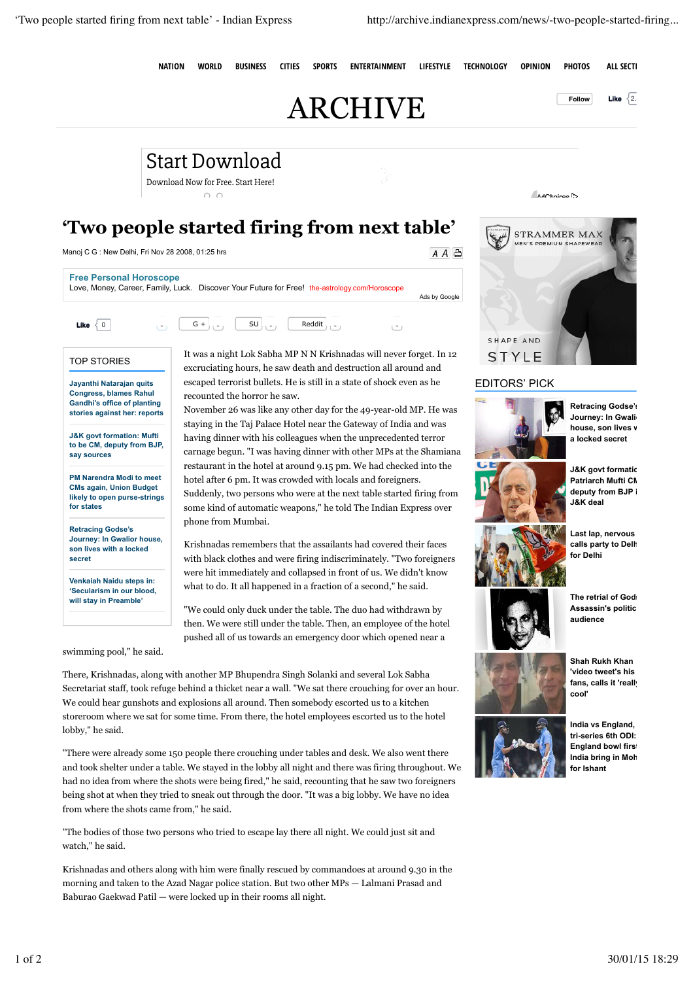NATION WORLD BUSINESS CITIES SPORTS ENTERTAINMENT LIFESTYLE TECHNOLOGY OPINION PHOTOS ALL SECTIONS

 $A \overline{A}$ 

## $\text{ARCHIVE}$  **Explorer Like**  $\overline{2}$

AdChoices D

## **'Two people started firing from next table'**

Start Download Download Now for Free. Start Here!

 $\cap$   $\cap$ 

Manoj C G : New Delhi, Fri Nov 28 2008, 01:25 hrs

| <b>Free Personal Horoscope</b> | Love, Money, Career, Family, Luck. Discover Your Future for Free! the-astrology.com/Horoscope                                          | Ads by Google |
|--------------------------------|----------------------------------------------------------------------------------------------------------------------------------------|---------------|
| Like                           | $ v_1 $ G + $ v_1 $ SU $ v_1 $ Reddit $ v_2 $<br>$\sim$ 1                                                                              |               |
| <b>TOP STORIES</b>             | It was a night Lok Sabha MP N N Krishnadas will never forget. In 12<br>excruciating hours, he saw death and destruction all around and |               |

**Jayanthi Natarajan quits Congress, blames Rahul Gandhi's office of planting stories against her: reports**

**J&K govt formation: Mufti to be CM, deputy from BJP, say sources**

**PM Narendra Modi to meet CMs again, Union Budget likely to open purse-strings for states**

**Retracing Godse's Journey: In Gwalior house, son lives with a locked secret**

**Venkaiah Naidu steps in: 'Secularism in our blood, will stay in Preamble'**

swimming pool," he said.

escaped terrorist bullets. He is still in a state of shock even as he recounted the horror he saw.

November 26 was like any other day for the 49-year-old MP. He was staying in the Taj Palace Hotel near the Gateway of India and was having dinner with his colleagues when the unprecedented terror carnage begun. "I was having dinner with other MPs at the Shamiana restaurant in the hotel at around 9.15 pm. We had checked into the hotel after 6 pm. It was crowded with locals and foreigners. Suddenly, two persons who were at the next table started firing from some kind of automatic weapons," he told The Indian Express over phone from Mumbai.

Krishnadas remembers that the assailants had covered their faces with black clothes and were firing indiscriminately. "Two foreigners were hit immediately and collapsed in front of us. We didn't know what to do. It all happened in a fraction of a second," he said.

"We could only duck under the table. The duo had withdrawn by then. We were still under the table. Then, an employee of the hotel pushed all of us towards an emergency door which opened near a

There, Krishnadas, along with another MP Bhupendra Singh Solanki and several Lok Sabha Secretariat staff, took refuge behind a thicket near a wall. "We sat there crouching for over an hour. We could hear gunshots and explosions all around. Then somebody escorted us to a kitchen storeroom where we sat for some time. From there, the hotel employees escorted us to the hotel lobby," he said.

"There were already some 150 people there crouching under tables and desk. We also went there and took shelter under a table. We stayed in the lobby all night and there was firing throughout. We had no idea from where the shots were being fired," he said, recounting that he saw two foreigners being shot at when they tried to sneak out through the door. "It was a big lobby. We have no idea from where the shots came from," he said.

"The bodies of those two persons who tried to escape lay there all night. We could just sit and watch," he said.

Krishnadas and others along with him were finally rescued by commandoes at around 9.30 in the morning and taken to the Azad Nagar police station. But two other MPs — Lalmani Prasad and Baburao Gaekwad Patil — were locked up in their rooms all night.



## EDITORS' PICK



**Retracing Godse's Journey: In Gwali house, son lives v a locked secret**



**Last lap, nervous calls party to Delhi, for Delhi**

**The retrial of Gods Assassin's political audience**



**Shah Rukh Khan 'video tweet's his** fans, calls it 'really

**cool'**



**India vs England, tri-series 6th ODI: England bowl first India bring in Moh** 

**for Ishant**